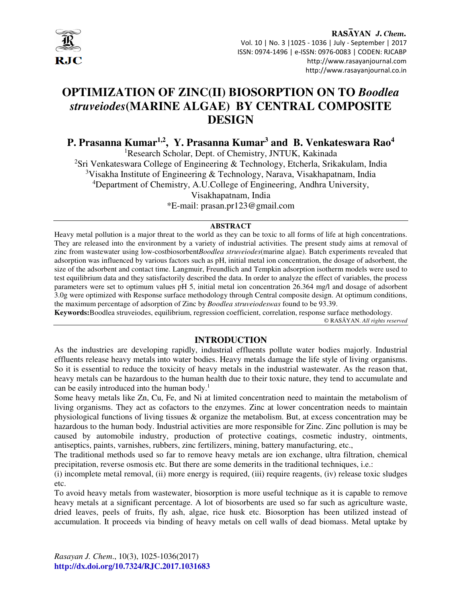

RASAYAN J. Chem. Vol. 10 | No. 3 |1025 - 1036 | July - September | 2017 ISSN: 0974-1496 | e-ISSN: 0976-0083 | CODEN: RJCABP http://www.rasayanjournal.com http://www.rasayanjournal.co.in

# **OPTIMIZATION OF ZINC(II) BIOSORPTION ON TO** *Boodlea struveiodes***(MARINE ALGAE) BY CENTRAL COMPOSITE DESIGN**

**P. Prasanna Kumar1,2, Y. Prasanna Kumar<sup>3</sup> and B. Venkateswara Rao<sup>4</sup>**

<sup>1</sup>Research Scholar, Dept. of Chemistry, JNTUK, Kakinada

<sup>2</sup>Sri Venkateswara College of Engineering & Technology, Etcherla, Srikakulam, India

<sup>3</sup>Visakha Institute of Engineering & Technology, Narava, Visakhapatnam, India

<sup>4</sup>Department of Chemistry, A.U.College of Engineering, Andhra University,

Visakhapatnam, India

\*E-mail: prasan.pr123@gmail.com

## **ABSTRACT**

Heavy metal pollution is a major threat to the world as they can be toxic to all forms of life at high concentrations. They are released into the environment by a variety of industrial activities. The present study aims at removal of zinc from wastewater using low-costbiosorbent*Boodlea struveiodes*(marine algae). Batch experiments revealed that adsorption was influenced by various factors such as pH, initial metal ion concentration, the dosage of adsorbent, the size of the adsorbent and contact time. Langmuir, Freundlich and Tempkin adsorption isotherm models were used to test equilibrium data and they satisfactorily described the data. In order to analyze the effect of variables, the process parameters were set to optimum values pH 5, initial metal ion concentration 26.364 mg/l and dosage of adsorbent 3.0g were optimized with Response surface methodology through Central composite design. At optimum conditions, the maximum percentage of adsorption of Zinc by *Boodlea struveiodeswas* found to be 93.39.

**Keywords:**Boodlea struveiodes, equilibrium, regression coefficient, correlation, response surface methodology. © RASĀYAN. *All rights reserved*

# **INTRODUCTION**

As the industries are developing rapidly, industrial effluents pollute water bodies majorly. Industrial effluents release heavy metals into water bodies. Heavy metals damage the life style of living organisms. So it is essential to reduce the toxicity of heavy metals in the industrial wastewater. As the reason that, heavy metals can be hazardous to the human health due to their toxic nature, they tend to accumulate and can be easily introduced into the human body.<sup>1</sup>

Some heavy metals like Zn, Cu, Fe, and Ni at limited concentration need to maintain the metabolism of living organisms. They act as cofactors to the enzymes. Zinc at lower concentration needs to maintain physiological functions of living tissues & organize the metabolism. But, at excess concentration may be hazardous to the human body. Industrial activities are more responsible for Zinc. Zinc pollution is may be caused by automobile industry, production of protective coatings, cosmetic industry, ointments, antiseptics, paints, varnishes, rubbers, zinc fertilizers, mining, battery manufacturing, etc.,

The traditional methods used so far to remove heavy metals are ion exchange, ultra filtration, chemical precipitation, reverse osmosis etc. But there are some demerits in the traditional techniques, i.e.:

(i) incomplete metal removal, (ii) more energy is required, (iii) require reagents, (iv) release toxic sludges etc.

To avoid heavy metals from wastewater, biosorption is more useful technique as it is capable to remove heavy metals at a significant percentage. A lot of biosorbents are used so far such as agriculture waste, dried leaves, peels of fruits, fly ash, algae, rice husk etc. Biosorption has been utilized instead of accumulation. It proceeds via binding of heavy metals on cell walls of dead biomass. Metal uptake by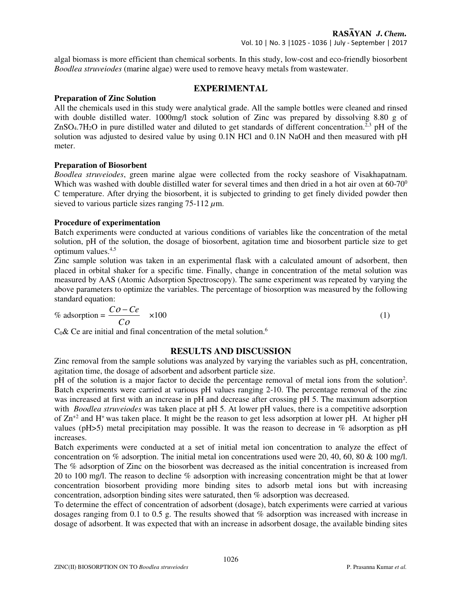algal biomass is more efficient than chemical sorbents. In this study, low-cost and eco-friendly biosorbent *Boodlea struveiodes* (marine algae) were used to remove heavy metals from wastewater.

## **EXPERIMENTAL**

## **Preparation of Zinc Solution**

All the chemicals used in this study were analytical grade. All the sample bottles were cleaned and rinsed with double distilled water. 1000mg/l stock solution of Zinc was prepared by dissolving 8.80 g of  $ZnSO<sub>4</sub>$ .7H<sub>2</sub>O in pure distilled water and diluted to get standards of different concentration.<sup>2,3</sup> pH of the solution was adjusted to desired value by using  $0.1N$  HCl and  $0.1N$  NaOH and then measured with pH meter.

## **Preparation of Biosorbent**

*Boodlea struveiodes*, green marine algae were collected from the rocky seashore of Visakhapatnam. Which was washed with double distilled water for several times and then dried in a hot air oven at 60-70<sup>0</sup> C temperature. After drying the biosorbent, it is subjected to grinding to get finely divided powder then sieved to various particle sizes ranging 75-112 *µ*m.

## **Procedure of experimentation**

Batch experiments were conducted at various conditions of variables like the concentration of the metal solution, pH of the solution, the dosage of biosorbent, agitation time and biosorbent particle size to get optimum values.4,5

Zinc sample solution was taken in an experimental flask with a calculated amount of adsorbent, then placed in orbital shaker for a specific time. Finally, change in concentration of the metal solution was measured by AAS (Atomic Adsorption Spectroscopy). The same experiment was repeated by varying the above parameters to optimize the variables. The percentage of biosorption was measured by the following standard equation:

$$
\% \text{ adsorption} = \frac{Co - Ce}{Co} \times 100 \tag{1}
$$

 $C_0$ & Ce are initial and final concentration of the metal solution.<sup>6</sup>

## **RESULTS AND DISCUSSION**

Zinc removal from the sample solutions was analyzed by varying the variables such as pH, concentration, agitation time, the dosage of adsorbent and adsorbent particle size.

pH of the solution is a major factor to decide the percentage removal of metal ions from the solution<sup>2</sup>. Batch experiments were carried at various pH values ranging 2-10. The percentage removal of the zinc was increased at first with an increase in pH and decrease after crossing pH 5. The maximum adsorption with *Boodlea struveiodes* was taken place at pH 5. At lower pH values, there is a competitive adsorption of Zn+2 and H<sup>+</sup>was taken place. It might be the reason to get less adsorption at lower pH. At higher pH values (pH>5) metal precipitation may possible. It was the reason to decrease in % adsorption as pH increases.

Batch experiments were conducted at a set of initial metal ion concentration to analyze the effect of concentration on % adsorption. The initial metal ion concentrations used were 20, 40, 60, 80 & 100 mg/l. The % adsorption of Zinc on the biosorbent was decreased as the initial concentration is increased from 20 to 100 mg/l. The reason to decline % adsorption with increasing concentration might be that at lower concentration biosorbent providing more binding sites to adsorb metal ions but with increasing concentration, adsorption binding sites were saturated, then % adsorption was decreased.

To determine the effect of concentration of adsorbent (dosage), batch experiments were carried at various dosages ranging from 0.1 to 0.5 g. The results showed that % adsorption was increased with increase in dosage of adsorbent. It was expected that with an increase in adsorbent dosage, the available binding sites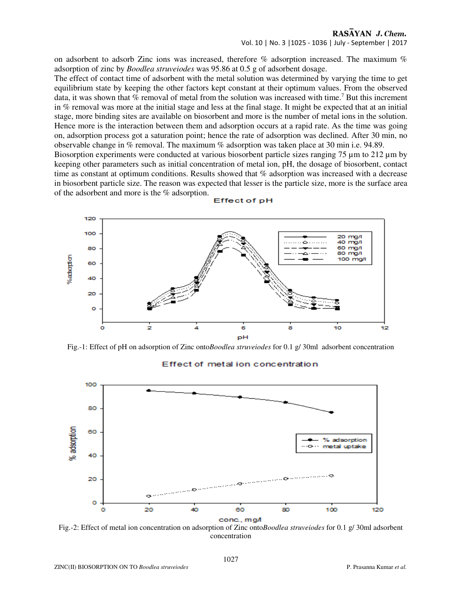## RASAYAN J. Chem. Vol. 10 | No. 3 |1025 - 1036 | July - September | 2017

on adsorbent to adsorb Zinc ions was increased, therefore % adsorption increased. The maximum % adsorption of zinc by *Boodlea struveiodes* was 95.86 at 0.5 g of adsorbent dosage.

The effect of contact time of adsorbent with the metal solution was determined by varying the time to get equilibrium state by keeping the other factors kept constant at their optimum values. From the observed data, it was shown that % removal of metal from the solution was increased with time.<sup>7</sup> But this increment in % removal was more at the initial stage and less at the final stage. It might be expected that at an initial stage, more binding sites are available on biosorbent and more is the number of metal ions in the solution. Hence more is the interaction between them and adsorption occurs at a rapid rate. As the time was going on, adsorption process got a saturation point; hence the rate of adsorption was declined. After 30 min, no observable change in % removal. The maximum % adsorption was taken place at 30 min i.e. 94.89.

Biosorption experiments were conducted at various biosorbent particle sizes ranging 75  $\mu$ m to 212  $\mu$ m by keeping other parameters such as initial concentration of metal ion, pH, the dosage of biosorbent, contact time as constant at optimum conditions. Results showed that % adsorption was increased with a decrease in biosorbent particle size. The reason was expected that lesser is the particle size, more is the surface area of the adsorbent and more is the % adsorption.



#### Effect of pH

Fig.-1: Effect of pH on adsorption of Zinc onto*Boodlea struveiodes* for 0.1 g/ 30ml adsorbent concentration



#### Effect of metal ion concentration

Fig.-2: Effect of metal ion concentration on adsorption of Zinc onto*Boodlea struveiodes* for 0.1 g/ 30ml adsorbent concentration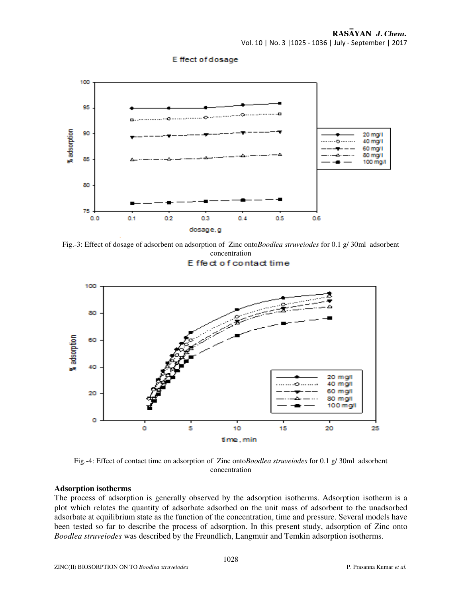E ffect of dosage



Fig.-3: Effect of dosage of adsorbent on adsorption of Zinc onto*Boodlea struveiodes* for 0.1 g/ 30ml adsorbent concentration

#### **F** fied of contact time



Fig.-4: Effect of contact time on adsorption of Zinc onto*Boodlea struveiodes* for 0.1 g/ 30ml adsorbent concentration

#### **Adsorption isotherms**

The process of adsorption is generally observed by the adsorption isotherms. Adsorption isotherm is a plot which relates the quantity of adsorbate adsorbed on the unit mass of adsorbent to the unadsorbed adsorbate at equilibrium state as the function of the concentration, time and pressure. Several models have been tested so far to describe the process of adsorption. In this present study, adsorption of Zinc onto *Boodlea struveiodes* was described by the Freundlich, Langmuir and Temkin adsorption isotherms.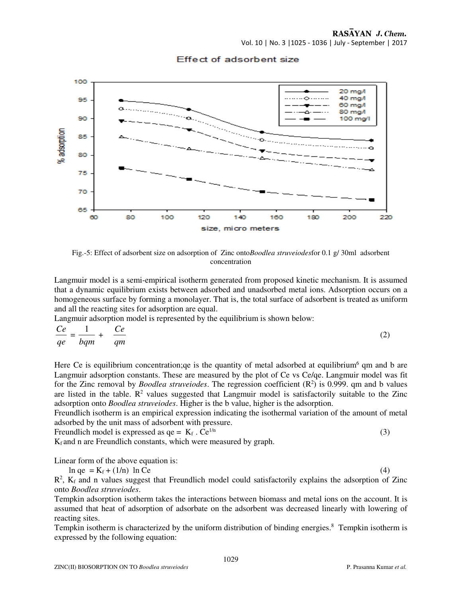## RASAYAN J. Chem. Vol. 10 | No. 3 |1025 - 1036 | July - September | 2017

100 20 mg/l Ó 40 mg/l 95 60 mg/l 80 mg/l 90 100 ma/l % adsorption 85 80 75 70 65 60 80 100 120 140 160 180 200 220 size, micro meters

## Effect of adsorbent size

Fig.-5: Effect of adsorbent size on adsorption of Zinc onto*Boodlea struveiodes*for 0.1 g/ 30ml adsorbent concentration

Langmuir model is a semi-empirical isotherm generated from proposed kinetic mechanism. It is assumed that a dynamic equilibrium exists between adsorbed and unadsorbed metal ions. Adsorption occurs on a homogeneous surface by forming a monolayer. That is, the total surface of adsorbent is treated as uniform and all the reacting sites for adsorption are equal.

Langmuir adsorption model is represented by the equilibrium is shown below:

$$
\frac{Ce}{qe} = \frac{1}{bqm} + \frac{Ce}{qm} \tag{2}
$$

Here Ce is equilibrium concentration; qe is the quantity of metal adsorbed at equilibrium<sup>6</sup> qm and b are Langmuir adsorption constants. These are measured by the plot of Ce vs Ce/qe. Langmuir model was fit for the Zinc removal by *Boodlea struveiodes*. The regression coefficient (R<sup>2</sup>) is 0.999. qm and b values are listed in the table.  $\mathbb{R}^2$  values suggested that Langmuir model is satisfactorily suitable to the Zinc adsorption onto *Boodlea struveiodes*. Higher is the b value, higher is the adsorption.

Freundlich isotherm is an empirical expression indicating the isothermal variation of the amount of metal adsorbed by the unit mass of adsorbent with pressure.

Freundlich model is expressed as  $qe = K_f$ .  $Ce^{1/n}$  (3)

 $K_f$  and n are Freundlich constants, which were measured by graph.

Linear form of the above equation is:

 $\ln \text{ qe } = \text{K}_f + (1/\text{n}) \ln \text{Ce}$  (4)

 $R<sup>2</sup>$ ,  $K_f$  and n values suggest that Freundlich model could satisfactorily explains the adsorption of Zinc onto *Boodlea struveiodes*.

Tempkin adsorption isotherm takes the interactions between biomass and metal ions on the account. It is assumed that heat of adsorption of adsorbate on the adsorbent was decreased linearly with lowering of reacting sites.

Tempkin isotherm is characterized by the uniform distribution of binding energies.<sup>8</sup> Tempkin isotherm is expressed by the following equation: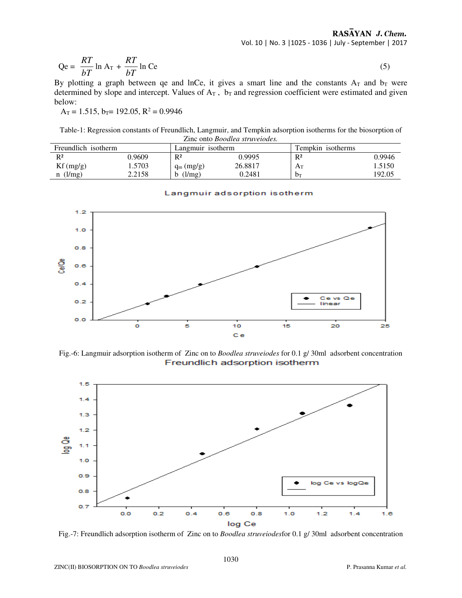$$
Qe = \frac{RT}{bT} \ln A_T + \frac{RT}{bT} \ln Ce \tag{5}
$$

By plotting a graph between qe and lnCe, it gives a smart line and the constants  $A_T$  and  $b_T$  were determined by slope and intercept. Values of  $A_T$ ,  $b_T$  and regression coefficient were estimated and given below:

 $A_T = 1.515$ ,  $b_T = 192.05$ ,  $R^2 = 0.9946$ 

Table-1: Regression constants of Freundlich, Langmuir, and Tempkin adsorption isotherms for the biosorption of Zinc onto *Boodlea struveiodes.* 

| Freundlich isotherm |        |              | Langmuir isotherm |       | Tempkin isotherms |  |
|---------------------|--------|--------------|-------------------|-------|-------------------|--|
| $R^2$               | ).9609 | $R^2$        | 0.9995            | $R^2$ | 0.9946            |  |
| Kf(mg/g)            | .5703  | $q_m$ (mg/g) | 26.8817           | Ат    | 1.5150            |  |
| $n$ (l/mg)          | 2.2158 | $1/mg$ )     | 0.2481            | $b_T$ | 192.05            |  |



#### Langmuir adsorption isotherm

Fig.-6: Langmuir adsorption isotherm of Zinc on to *Boodlea struveiodes* for 0.1 g/ 30ml adsorbent concentration Freundlich adsorption isotherm



Fig.-7: Freundlich adsorption isotherm of Zinc on to *Boodlea struveiodes*for 0.1 g/ 30ml adsorbent concentration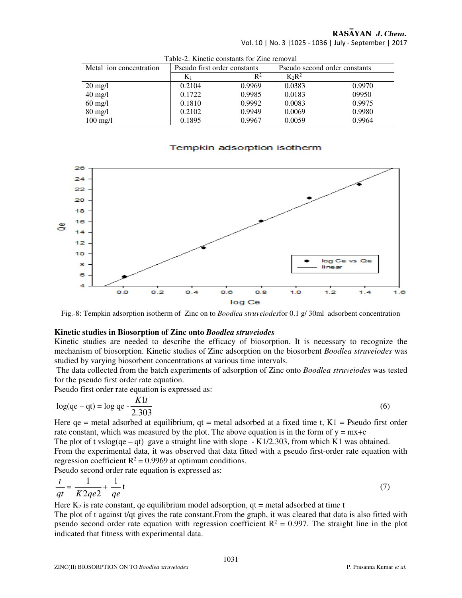## RASAYAN J. Chem.

Vol. 10 | No. 3 |1025 - 1036 | July - September | 2017

| Table-2. Killette constants for Zinc femoval |                              |                |                               |        |  |  |
|----------------------------------------------|------------------------------|----------------|-------------------------------|--------|--|--|
| Metal ion concentration                      | Pseudo first order constants |                | Pseudo second order constants |        |  |  |
|                                              | $K_1$                        | $\mathbb{R}^2$ | $K_2R^2$                      |        |  |  |
| $20 \text{ mg/l}$                            | 0.2104                       | 0.9969         | 0.0383                        | 0.9970 |  |  |
| $40$ mg/l                                    | 0.1722                       | 0.9985         | 0.0183                        | 09950  |  |  |
| $60$ mg/l                                    | 0.1810                       | 0.9992         | 0.0083                        | 0.9975 |  |  |
| $80$ mg/l                                    | 0.2102                       | 0.9949         | 0.0069                        | 0.9980 |  |  |
| $100 \text{ mg/l}$                           | 0.1895                       | 0.9967         | 0.0059                        | 0.9964 |  |  |

Table-2: Kinetic constants for Zinc removal

### Tempkin adsorption isotherm



Fig.-8: Tempkin adsorption isotherm of Zinc on to *Boodlea struveiodes*for 0.1 g/ 30ml adsorbent concentration

### **Kinetic studies in Biosorption of Zinc onto** *Boodlea struveiodes*

Kinetic studies are needed to describe the efficacy of biosorption. It is necessary to recognize the mechanism of biosorption. Kinetic studies of Zinc adsorption on the biosorbent *Boodlea struveiodes* was studied by varying biosorbent concentrations at various time intervals.

 The data collected from the batch experiments of adsorption of Zinc onto *Boodlea struveiodes* was tested for the pseudo first order rate equation.

Pseudo first order rate equation is expressed as:

$$
log(qe - qt) = log qe - \frac{K1t}{2.303}
$$
\n
$$
(6)
$$

Here  $qe =$  metal adsorbed at equilibrium,  $qt =$  metal adsorbed at a fixed time t,  $K1 =$  Pseudo first order rate constant, which was measured by the plot. The above equation is in the form of  $y = mx+c$ 

The plot of t vslog(qe – qt) gave a straight line with slope  $-K1/2.303$ , from which K1 was obtained. From the experimental data, it was observed that data fitted with a pseudo first-order rate equation with regression coefficient  $R^2 = 0.9969$  at optimum conditions. Pseudo second order rate equation is expressed as:

$$
\frac{t}{qt} = \frac{1}{K2qe^2} + \frac{1}{qe}t
$$
 (7)

Here  $K_2$  is rate constant, qe equilibrium model adsorption, qt = metal adsorbed at time t

The plot of t against t/qt gives the rate constant.From the graph, it was cleared that data is also fitted with pseudo second order rate equation with regression coefficient  $R^2 = 0.997$ . The straight line in the plot indicated that fitness with experimental data.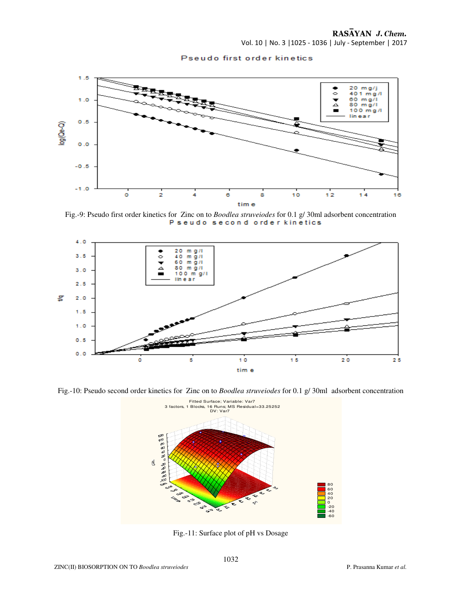Vol. 10 | No. 3 |1025 - 1036 | July - September | 2017





Fig.-9: Pseudo first order kinetics for Zinc on to *Boodlea struveiodes* for 0.1 g/ 30ml adsorbent concentration



Fig.-10: Pseudo second order kinetics for Zinc on to *Boodlea struveiodes* for 0.1 g/ 30ml adsorbent concentration



Fig.-11: Surface plot of pH vs Dosage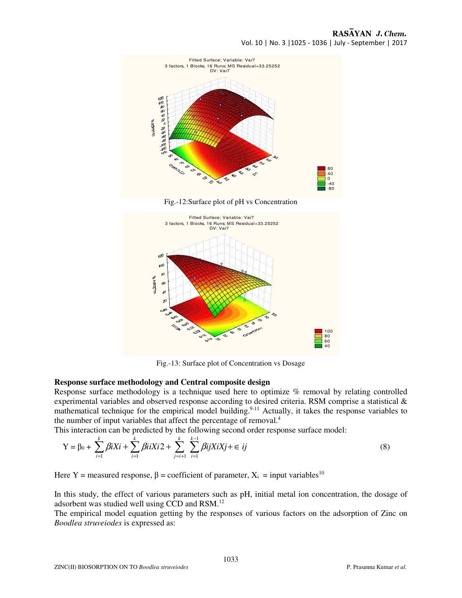

Fig.-12:Surface plot of pH vs Concentration



Fig.-13: Surface plot of Concentration vs Dosage

### **Response surface methodology and Central composite design**

Response surface methodology is a technique used here to optimize % removal by relating controlled experimental variables and observed response according to desired criteria. RSM comprise a statistical & mathematical technique for the empirical model building.<sup>9-11</sup> Actually, it takes the response variables to the number of input variables that affect the percentage of removal.<sup>4</sup>

This interaction can be predicted by the following second order response surface model:

$$
Y = \beta_0 + \sum_{i=1}^{k} \beta i X i + \sum_{i=1}^{k} \beta i i X i 2 + \sum_{j=i+1}^{k} \sum_{i=1}^{k-1} \beta i j X i X j + \in ij
$$
\n(8)

Here Y = measured response,  $\beta$  = coefficient of parameter,  $X_i$  = input variables<sup>10</sup>

In this study, the effect of various parameters such as pH, initial metal ion concentration, the dosage of adsorbent was studied well using CCD and RSM.<sup>12</sup>

The empirical model equation getting by the responses of various factors on the adsorption of Zinc on *Boodlea struveiodes* is expressed as: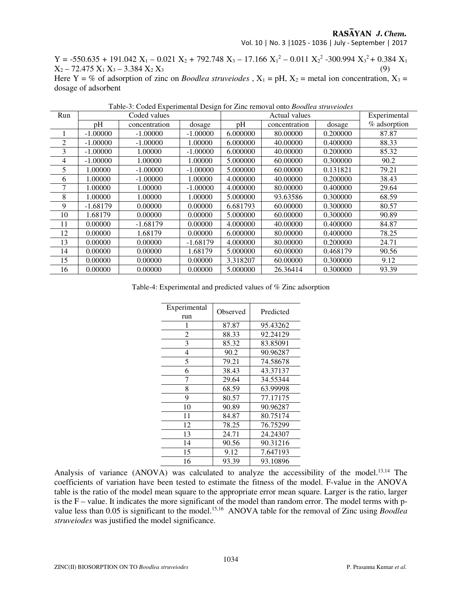## RASAYAN J. Chem.

Vol. 10 | No. 3 |1025 - 1036 | July - September | 2017

 $Y = -550.635 + 191.042 X_1 - 0.021 X_2 + 792.748 X_3 - 17.166 X_1^2 - 0.011 X_2^2 - 300.994 X_3^2 + 0.384 X_1$  $X_2 - 72.475 X_1 X_3 - 3.384 X_2 X_3$  (9)

Here Y = % of adsorption of zinc on *Boodlea struveiodes*,  $X_1 = pH$ ,  $X_2$  = metal ion concentration,  $X_3$  = dosage of adsorbent

| Run |            | Coded values  |            | Actual values |               |          | Experimental |
|-----|------------|---------------|------------|---------------|---------------|----------|--------------|
|     | pH         | concentration | dosage     | pH            | concentration | dosage   | % adsorption |
|     | $-1.00000$ | $-1.00000$    | $-1.00000$ | 6.000000      | 80.00000      | 0.200000 | 87.87        |
| 2   | $-1.00000$ | $-1.00000$    | 1.00000    | 6.000000      | 40.00000      | 0.400000 | 88.33        |
| 3   | $-1.00000$ | 1.00000       | $-1.00000$ | 6.000000      | 40.00000      | 0.200000 | 85.32        |
| 4   | $-1.00000$ | 1.00000       | 1.00000    | 5.000000      | 60.00000      | 0.300000 | 90.2         |
| 5   | 1.00000    | $-1.00000$    | $-1.00000$ | 5.000000      | 60.00000      | 0.131821 | 79.21        |
| 6   | 1.00000    | $-1.00000$    | 1.00000    | 4.000000      | 40.00000      | 0.200000 | 38.43        |
|     | 1.00000    | 1.00000       | $-1.00000$ | 4.000000      | 80.00000      | 0.400000 | 29.64        |
| 8   | 1.00000    | 1.00000       | 1.00000    | 5.000000      | 93.63586      | 0.300000 | 68.59        |
| 9   | $-1.68179$ | 0.00000       | 0.00000    | 6.681793      | 60.00000      | 0.300000 | 80.57        |
| 10  | 1.68179    | 0.00000       | 0.00000    | 5.000000      | 60.00000      | 0.300000 | 90.89        |
| 11  | 0.00000    | $-1.68179$    | 0.00000    | 4.000000      | 40.00000      | 0.400000 | 84.87        |
| 12  | 0.00000    | 1.68179       | 0.00000    | 6.000000      | 80.00000      | 0.400000 | 78.25        |
| 13  | 0.00000    | 0.00000       | $-1.68179$ | 4.000000      | 80.00000      | 0.200000 | 24.71        |
| 14  | 0.00000    | 0.00000       | 1.68179    | 5.000000      | 60.00000      | 0.468179 | 90.56        |
| 15  | 0.00000    | 0.00000       | 0.00000    | 3.318207      | 60.00000      | 0.300000 | 9.12         |
| 16  | 0.00000    | 0.00000       | 0.00000    | 5.000000      | 26.36414      | 0.300000 | 93.39        |

Table-3: Coded Experimental Design for Zinc removal onto *Boodlea struveiodes* 

Table-4: Experimental and predicted values of % Zinc adsorption

| Experimental<br>run | Observed | Predicted |  |
|---------------------|----------|-----------|--|
| 1                   | 87.87    | 95.43262  |  |
| 2                   | 88.33    | 92.24129  |  |
| 3                   | 85.32    | 83.85091  |  |
| 4                   | 90.2     | 90.96287  |  |
| 5                   | 79.21    | 74.58678  |  |
| 6                   | 38.43    | 43.37137  |  |
| 7                   | 29.64    | 34.55344  |  |
| 8                   | 68.59    | 63.99998  |  |
| 9                   | 80.57    | 77.17175  |  |
| 10                  | 90.89    | 90.96287  |  |
| 11                  | 84.87    | 80.75174  |  |
| 12                  | 78.25    | 76.75299  |  |
| 13                  | 24.71    | 24.24307  |  |
| 14                  | 90.56    | 90.31216  |  |
| 15                  | 9.12     | 7.647193  |  |
| 16                  | 93.39    | 93.10896  |  |

Analysis of variance (ANOVA) was calculated to analyze the accessibility of the model.<sup>13,14</sup> The coefficients of variation have been tested to estimate the fitness of the model. F-value in the ANOVA table is the ratio of the model mean square to the appropriate error mean square. Larger is the ratio, larger is the F – value. It indicates the more significant of the model than random error. The model terms with pvalue less than 0.05 is significant to the model.<sup>15,16</sup> ANOVA table for the removal of Zinc using *Boodlea struveiodes* was justified the model significance.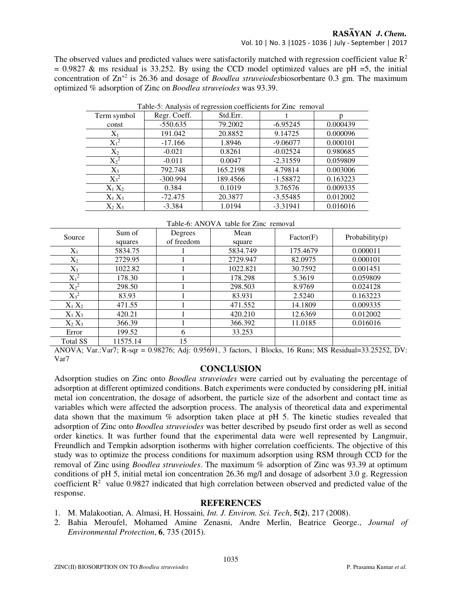RASAYAN J. Chem.

Vol. 10 | No. 3 |1025 - 1036 | July - September | 2017

The observed values and predicted values were satisfactorily matched with regression coefficient value  $\mathbb{R}^2$  $= 0.9827$  & ms residual is 33.252. By using the CCD model optimized values are pH =5, the initial concentration of Zn+2 is 26.36 and dosage of *Boodlea struveiodes*biosorbentare 0.3 gm. The maximum optimized % adsorption of Zinc on *Boodlea struveiodes* was 93.39.

| Table-5: Analysis of regression coefficients for Zinc removal |              |          |            |          |  |  |
|---------------------------------------------------------------|--------------|----------|------------|----------|--|--|
| Term symbol                                                   | Regr. Coeff. | Std.Err. |            |          |  |  |
| const                                                         | $-550.635$   | 79.2002  | $-6.95245$ | 0.000439 |  |  |
| $X_1$                                                         | 191.042      | 20.8852  | 9.14725    | 0.000096 |  |  |
| $X_1^2$                                                       | $-17.166$    | 1.8946   | $-9.06077$ | 0.000101 |  |  |
| $X_2$                                                         | $-0.021$     | 0.8261   | $-0.02524$ | 0.980685 |  |  |
| $X_2^2$                                                       | $-0.011$     | 0.0047   | $-2.31559$ | 0.059809 |  |  |
| $X_3$                                                         | 792.748      | 165.2198 | 4.79814    | 0.003006 |  |  |
| $X_3^2$                                                       | $-300.994$   | 189.4566 | $-1.58872$ | 0.163223 |  |  |
| $X_1 X_2$                                                     | 0.384        | 0.1019   | 3.76576    | 0.009335 |  |  |
| $X_1 X_3$                                                     | $-72.475$    | 20.3877  | $-3.55485$ | 0.012002 |  |  |
| $X_2 X_3$                                                     | $-3.384$     | 1.0194   | $-3.31941$ | 0.016016 |  |  |

Table-6: ANOVA table for Zinc removal

| Source          | Sum of   | Degrees    | Mean     | Factor(F) | Probability $(p)$ |
|-----------------|----------|------------|----------|-----------|-------------------|
|                 | squares  | of freedom | square   |           |                   |
| $X_1$           | 5834.75  |            | 5834.749 | 175.4679  | 0.000011          |
| $X_2$           | 2729.95  |            | 2729.947 | 82.0975   | 0.000101          |
| $X_3$           | 1022.82  |            | 1022.821 | 30.7592   | 0.001451          |
| $X_1^2$         | 178.30   |            | 178.298  | 5.3619    | 0.059809          |
| $X_2^2$         | 298.50   |            | 298.503  | 8.9769    | 0.024128          |
| $X_3^2$         | 83.93    |            | 83.931   | 2.5240    | 0.163223          |
| $X_1 X_2$       | 471.55   |            | 471.552  | 14.1809   | 0.009335          |
| $X_1 X_3$       | 420.21   |            | 420.210  | 12.6369   | 0.012002          |
| $X_2 X_3$       | 366.39   |            | 366.392  | 11.0185   | 0.016016          |
| Error           | 199.52   | 6          | 33.253   |           |                   |
| <b>Total SS</b> | 11575.14 | 15         |          |           |                   |

ANOVA; Var.:Var7; R-sqr = 0.98276; Adj: 0.95691, 3 factors, 1 Blocks, 16 Runs; MS Residual=33.25252, DV: Var7

## **CONCLUSION**

Adsorption studies on Zinc onto *Boodlea struveiodes* were carried out by evaluating the percentage of adsorption at different optimized conditions. Batch experiments were conducted by considering pH, initial metal ion concentration, the dosage of adsorbent, the particle size of the adsorbent and contact time as variables which were affected the adsorption process. The analysis of theoretical data and experimental data shown that the maximum % adsorption taken place at pH 5. The kinetic studies revealed that adsorption of Zinc onto *Boodlea struveiodes* was better described by pseudo first order as well as second order kinetics. It was further found that the experimental data were well represented by Langmuir, Freundlich and Tempkin adsorption isotherms with higher correlation coefficients. The objective of this study was to optimize the process conditions for maximum adsorption using RSM through CCD for the removal of Zinc using *Boodlea struveiodes*. The maximum % adsorption of Zinc was 93.39 at optimum conditions of pH 5, initial metal ion concentration 26.36 mg/l and dosage of adsorbent 3.0 g. Regression coefficient  $\mathbb{R}^2$  value 0.9827 indicated that high correlation between observed and predicted value of the response.

## **REFERENCES**

- 1. M. Malakootian, A. Almasi, H. Hossaini*, Int. J. Environ. Sci. Tech*, **5(2)**, 217 (2008).
- 2. Bahia Meroufel, Mohamed Amine Zenasni, Andre Merlin, Beatrice George., *Journal of Environmental Protection*, **6**, 735 (2015).